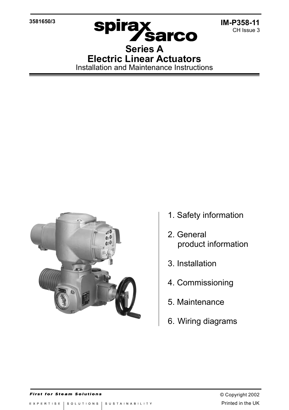**3581650/3**



**IM-P358-11** CH Issue 3

# **Electric Linear Actuators** Installation and Maintenance Instructions



- 1. Safety information
- 2. General product information
- 3. Installation
- 4. Commissioning
- 5. Maintenance
- 6. Wiring diagrams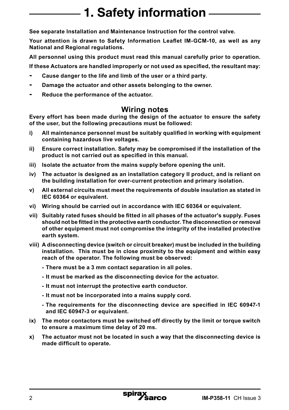# 1. Safety information

**See separate Installation and Maintenance Instruction for the control valve.**

**Your attention is drawn to Safety Information Leaflet IM-GCM-10, as well as any National and Regional regulations.**

**All personnel using this product must read this manual carefully prior to operation.**

**If these Actuators are handled improperly or not used as specified, the resultant may:**

- **- Cause danger to the life and limb of the user or a third party.**
- **- Damage the actuator and other assets belonging to the owner.**
- **- Reduce the performance of the actuator.**

### **Wiring notes**

**Every effort has been made during the design of the actuator to ensure the safety of the user, but the following precautions must be followed:**

- **i) All maintenance personnel must be suitably qualified in working with equipment containing hazardous live voltages.**
- **ii) Ensure correct installation. Safety may be compromised if the installation of the product is not carried out as specified in this manual.**
- **iii) Isolate the actuator from the mains supply before opening the unit.**
- **iv) The actuator is designed as an installation category II product, and is reliant on the building installation for over-current protection and primary isolation.**
- **v) All external circuits must meet the requirements of double insulation as stated in IEC 60364 or equivalent.**
- **vi) Wiring should be carried out in accordance with IEC 60364 or equivalent.**
- **vii) Suitably rated fuses should be fitted in all phases of the actuator's supply. Fuses should not be fitted in the protective earth conductor. The disconnection or removal of other equipment must not compromise the integrity of the installed protective earth system.**
- **viii) A disconnecting device (switch or circuit breaker) must be included in the building installation. This must be in close proximity to the equipment and within easy reach of the operator. The following must be observed:**
	- **- There must be a 3 mm contact separation in all poles.**
	- **- It must be marked as the disconnecting device for the actuator.**
	- **- It must not interrupt the protective earth conductor.**
	- **- It must not be incorporated into a mains supply cord.**
	- **- The requirements for the disconnecting device are specified in IEC 60947-1 and IEC 60947-3 or equivalent.**
- **ix) The motor contactors must be switched off directly by the limit or torque switch to ensure a maximum time delay of 20 ms.**
- **x) The actuator must not be located in such a way that the disconnecting device is made difficult to operate.**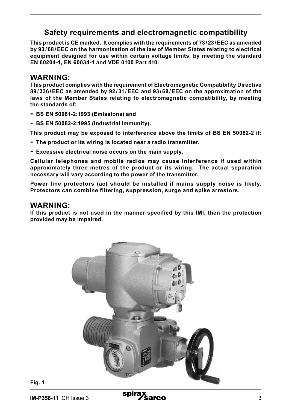## **Safety requirements and electromagnetic compatibility**

**This product is CE marked. It complies with the requirements of 73/23/EEC as amended by 93 / 68 /EEC on the harmonisation of the law of Member States relating to electrical equipment designed for use within certain voltage limits, by meeting the standard EN 60204-1, EN 60034-1 and VDE 0100 Part 410.** 

#### **WARNING:**

**This product complies with the requirement of Electromagnetic Compatibility Directive 89 / 336 /EEC as amended by 92 / 31 /EEC and 93 / 68 /EEC on the approximation of the laws of the Member States relating to electromagnetic compatibility, by meeting the standards of:** 

- **- BS EN 50081-2:1993 (Emissions) and**
- **- BS EN 50082-2:1995 (Industrial Immunity).**

**This product may be exposed to interference above the limits of BS EN 50082-2 if:**

- **- The product or its wiring is located near a radio transmitter.**
- **- Excessive electrical noise occurs on the main supply.**

**Cellular telephones and mobile radios may cause interference if used within approximately three metres of the product or its wiring. The actual separation necessary will vary according to the power of the transmitter.**

**Power line protectors (ac) should be installed if mains supply noise is likely. Protectors can combine filtering, suppression, surge and spike arrestors.**

#### **WARNING:**

**If this product is not used in the manner specified by this IMI, then the protection provided may be impaired.**



spira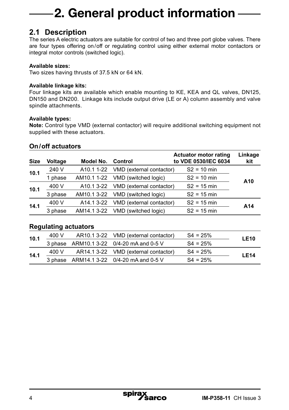# 2. General product information

# **2.1 Description**

The series A electric actuators are suitable for control of two and three port globe valves. There are four types offering on/off or regulating control using either external motor contactors or integral motor controls (switched logic).

#### **Available sizes:**

Two sizes having thrusts of 37.5 kN or 64 kN.

#### **Available linkage kits:**

Four linkage kits are available which enable mounting to KE, KEA and QL valves, DN125, DN150 and DN200. Linkage kits include output drive (LE or A) column assembly and valve spindle attachments.

#### **Available types:**

**Note:** Control type VMD (external contactor) will require additional switching equipment not supplied with these actuators.

#### **On/off actuators**

| <b>Size</b> | Voltage | Model No.  | Control                             | <b>Actuator motor rating</b><br>to VDE 0530/IEC 6034 | Linkage<br>kit  |
|-------------|---------|------------|-------------------------------------|------------------------------------------------------|-----------------|
| 10.1        | 240 V   |            | A10.1 1-22 VMD (external contactor) | $S2 = 10$ min                                        |                 |
|             | 1 phase |            | AM10.1 1-22 VMD (switched logic)    | $S2 = 10$ min                                        | A <sub>10</sub> |
| 10.1        | 400 V   |            | A10.1 3-22 VMD (external contactor) | $S2 = 15$ min                                        |                 |
|             | 3 phase |            | AM10.1 3-22 VMD (switched logic)    | $S2 = 15$ min                                        |                 |
| 14.1        | 400 V   | A14.1 3-22 | VMD (external contactor)            | $S2 = 15$ min                                        | A14             |
|             | 3 phase |            | AM14.1 3-22 VMD (switched logic)    | $S2 = 15$ min                                        |                 |
|             |         |            |                                     |                                                      |                 |

#### **Regulating actuators**

| 10.1 | 400 V | AR10.1 3-22 VMD (external contactor)       | $S4 = 25%$ | <b>LE10</b> |  |
|------|-------|--------------------------------------------|------------|-------------|--|
|      |       | 3 phase ARM10.1 3-22 0/4-20 mA and 0-5 V   | $S4 = 25%$ |             |  |
| 14.1 |       | 400 V AR14.1 3-22 VMD (external contactor) | $S4 = 25%$ | <b>LE14</b> |  |
|      |       | 3 phase ARM14.1 3-22 0/4-20 mA and 0-5 V   | $S4 = 25%$ |             |  |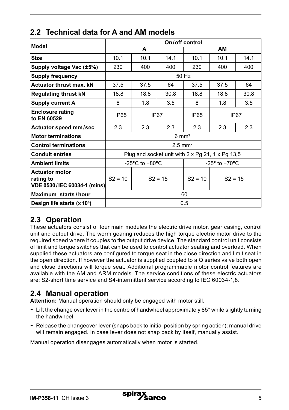|                                                                   | On/off control                       |      |                                                                |                              |           |      |
|-------------------------------------------------------------------|--------------------------------------|------|----------------------------------------------------------------|------------------------------|-----------|------|
| Model                                                             | A                                    |      |                                                                | AМ                           |           |      |
| <b>Size</b>                                                       | 10.1                                 | 10.1 | 14.1                                                           | 10.1                         | 10.1      | 14.1 |
| Supply voltage Vac (±5%)                                          | 230                                  | 400  | 400                                                            | 230                          | 400       | 400  |
| <b>Supply frequency</b>                                           |                                      |      |                                                                | 50 Hz                        |           |      |
| <b>Actuator thrust max, kN</b>                                    | 37.5                                 | 37.5 | 64                                                             | 37.5                         | 37.5      | 64   |
| <b>Regulating thrust kN</b>                                       | 18.8                                 | 18.8 | 30.8                                                           | 18.8                         | 18.8      | 30.8 |
| <b>Supply current A</b>                                           | 8                                    | 1.8  | 3.5                                                            | 8                            | 1.8       | 3.5  |
| <b>Enclosure rating</b><br>to EN 60529                            | <b>IP67</b><br>IP <sub>65</sub>      |      | IP <sub>65</sub>                                               | IP67                         |           |      |
| Actuator speed mm/sec                                             | 2.3                                  | 2.3  | 2.3                                                            | 2.3                          | 2.3       | 2.3  |
| <b>Motor terminations</b>                                         | $6 \text{ mm}^2$                     |      |                                                                |                              |           |      |
| <b>Control terminations</b>                                       | $2.5$ mm <sup>2</sup>                |      |                                                                |                              |           |      |
| <b>Conduit entries</b>                                            |                                      |      | Plug and socket unit with $2 \times$ Pg 21, 1 $\times$ Pg 13,5 |                              |           |      |
| <b>Ambient limits</b>                                             | -25 $^{\circ}$ C to +80 $^{\circ}$ C |      |                                                                | $-25^\circ$ to $+70^\circ$ C |           |      |
| <b>Actuator motor</b><br>rating to<br>VDE 0530/IEC 60034-1 (mins) | $S2 = 10$                            |      | $S2 = 15$                                                      | $S2 = 10$                    | $S2 = 15$ |      |
| Maximum starts/hour                                               | 60                                   |      |                                                                |                              |           |      |
| Design life starts (x 10 <sup>6</sup> )                           | 0.5                                  |      |                                                                |                              |           |      |

# **2.2 Technical data for A and AM models**

# **2.3 Operation**

These actuators consist of four main modules the electric drive motor, gear casing, control unit and output drive. The worm gearing reduces the high torque electric motor drive to the required speed where it couples to the output drive device. The standard control unit consists of limit and torque switches that can be used to control actuator seating and overload. When supplied these actuators are configured to torque seat in the close direction and limit seat in the open direction. If however the actuator is supplied coupled to a Q series valve both open and close directions will torque seat. Additional programmable motor control features are available with the AM and ARM models. The service conditions of these electric actuators are: S2-short time service and S4-intermittent service according to IEC 60034-1,8.

# **2.4 Manual operation**

**Attention:** Manual operation should only be engaged with motor still.

- **-** Lift the change over lever in the centre of handwheel approximately 85° while slightly turning the handwheel.
- **-** Release the changeover lever (snaps back to initial position by spring action); manual drive will remain engaged. In case lever does not snap back by itself, manually assist.

Manual operation disengages automatically when motor is started.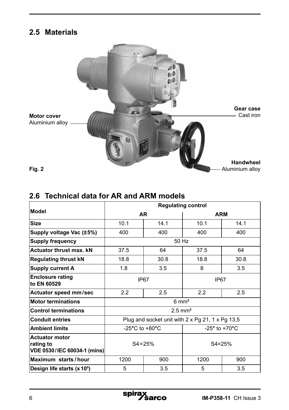# **2.5 Materials**



# **2.6 Technical data for AR and ARM models**

|                                                                   | <b>Regulating control</b>                                      |      |                                  |      |  |
|-------------------------------------------------------------------|----------------------------------------------------------------|------|----------------------------------|------|--|
| <b>Model</b>                                                      |                                                                | AR.  | <b>ARM</b>                       |      |  |
| <b>Size</b>                                                       | 10.1                                                           | 14.1 | 10.1                             | 14.1 |  |
| Supply voltage Vac (±5%)                                          | 400                                                            | 400  | 400                              | 400  |  |
| <b>Supply frequency</b>                                           | 50 Hz                                                          |      |                                  |      |  |
| <b>Actuator thrust max. kN</b>                                    | 37.5                                                           | 64   | 37.5                             | 64   |  |
| <b>Regulating thrust kN</b>                                       | 18.8                                                           | 30.8 | 18.8                             | 30.8 |  |
| <b>Supply current A</b>                                           | 1.8                                                            | 3.5  | 8                                | 3.5  |  |
| <b>Enclosure rating</b><br>to EN 60529                            | IP67                                                           |      | IP <sub>67</sub>                 |      |  |
| Actuator speed mm/sec                                             | 2.2                                                            | 2.5  | 2.2                              | 2.5  |  |
| <b>Motor terminations</b>                                         | $6 \text{ mm}^2$                                               |      |                                  |      |  |
| <b>Control terminations</b>                                       | $2.5$ mm <sup>2</sup>                                          |      |                                  |      |  |
| <b>Conduit entries</b>                                            | Plug and socket unit with $2 \times$ Pg 21, 1 $\times$ Pg 13,5 |      |                                  |      |  |
| <b>Ambient limits</b>                                             | -25 $^{\circ}$ C to +80 $^{\circ}$ C                           |      | $-25^{\circ}$ to $+70^{\circ}$ C |      |  |
| <b>Actuator motor</b><br>rating to<br>VDE 0530/IEC 60034-1 (mins) | $S4 = 25%$                                                     |      | $S4 = 25%$                       |      |  |
| Maximum starts/hour                                               | 1200                                                           | 900  | 1200                             | 900  |  |
| Design life starts (x 10 <sup>6</sup> )                           | 5                                                              | 3.5  | 5                                | 3.5  |  |

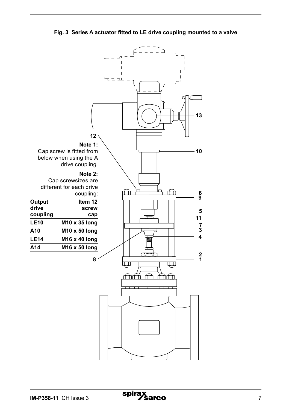

**Fig. 3 Series A actuator fitted to LE drive coupling mounted to a valve**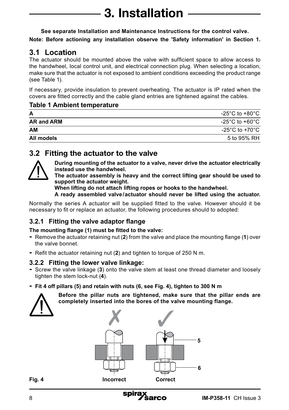**See separate Installation and Maintenance Instructions for the control valve. Note: Before actioning any installation observe the 'Safety information' in Section 1.**

### **3.1 Loc**ation

The actuator should be mounted above the valve with sufficient space to allow access to the handwheel, local control unit, and electrical connection plug. When selecting a location make sure that the actuator is not exposed to ambient conditions exceeding the product range (see Table 1).

If necessary, provide insulation to prevent overheating. The actuator is IP rated when the covers are fitted correctly and the cable gland entries are tightened against the cables.

#### **Table 1 Ambient temperature**

| A          | -25°C to +80°C |
|------------|----------------|
| AR and ARM | -25°C to +60°C |
| AM         | -25°C to +70°C |
| All models | 5 to 95% RH    |

### **3.2 Fit**ting the actuator to the valve



**During mounting of the actuator to a valve, never drive the actuator electrically instead use the handwheel.**

**The actuator assembly is heavy and the correct lifting gear should be used to support the actuator weight.** 

**When lifting do not attach lifting ropes or hooks to the handwheel.** 

**A ready assembled valve/actuator should never be lifted using the actuator.**

Normally the series A actuator will be supplied fitted to the valve. However should it be necessary to fit or replace an actuator, the following procedures should to adopted:

#### **3.2.1 Fitting the valve adaptor flange**

#### **The mounting flange (1) must be fitted to the valve:**

- **-** Remove the actuator retaining nut (**2**) from the valve and place the mounting flange (**1**) over the valve bonnet.
- **-** Refit the actuator retaining nut (**2**) and tighten to torque of 250 N m.

#### **3.2.2 Fitting the lower valve linkage:**

- **-** Screw the valve linkage (**3**) onto the valve stem at least one thread diameter and loosely tighten the stem lock-nut (**4**).
- **- Fit 4 off pillars (5) and retain with nuts (6, see Fig. 4), tighten to 300 N m**



**Before the pillar nuts are tightened, make sure that the pillar ends are completely inserted into the bores of the valve mounting flange.**



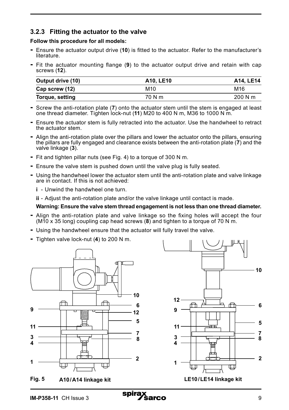#### **3.2.3 Fitting the actuator to the valve**

#### **Follow this procedure for all models:**

- **-** Ensure the actuator output drive (**10**) is fitted to the actuator. Refer to the manufacturer's literature.
- **-** Fit the actuator mounting flange (**9**) to the actuator output drive and retain with cap screws (**12**).

| <b>Output drive (10)</b> | A <sub>10</sub> . LE <sub>10</sub> | A14. LE14 |
|--------------------------|------------------------------------|-----------|
| Cap screw (12)           | M10                                | M16       |
| Torque, setting          | 70 N m                             | 200 N m   |

- **-** Screw the anti-rotation plate (**7**) onto the actuator stem until the stem is engaged at least one thread diameter. Tighten lock-nut (**11**) M20 to 400 N m, M36 to 1000 N m.
- **-** Ensure the actuator stem is fully retracted into the actuator. Use the handwheel to retract the actuator stem.
- **-** Align the anti-rotation plate over the pillars and lower the actuator onto the pillars, ensuring the pillars are fully engaged and clearance exists between the anti-rotation plate (**7**) and the valve linkage (**3**).
- **-** Fit and tighten pillar nuts (see Fig. 4) to a torque of 300 N m.
- **-** Ensure the valve stem is pushed down until the valve plug is fully seated.
- **-** Using the handwheel lower the actuator stem until the anti-rotation plate and valve linkage are in contact. If this is not achieved:

*i* - Unwind the handwheel one turn.

**ii** - Adjust the anti-rotation plate and/or the valve linkage until contact is made.

#### **Warning: Ensure the valve stem thread engagement is not less than one thread diameter.**

- **-** Align the anti-rotation plate and valve linkage so the fixing holes will accept the four (M10 x 35 long) coupling cap head screws (**8**) and tighten to a torque of 70 N m.
- **-** Using the handwheel ensure that the actuator will fully travel the valve.

spira

**-** Tighten valve lock-nut (**4**) to 200 N m.



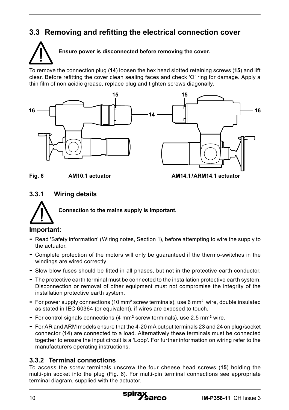# **3.3 Removing and refitting the electrical connection cover**



**Ensure power is disconnected before removing the cover.**

To remove the connection plug (**14**) loosen the hex head slotted retaining screws (**15**) and lift clear. Before refitting the cover clean sealing faces and check 'O' ring for damage. Apply a thin film of non acidic grease, replace plug and tighten screws diagonally.



**Fig. 6 AM10.1 actuator AM14.1/ARM14.1 actuator**

#### **3.3.1 Wiring details**



**Connection to the mains supply is important.**

#### **Important:**

- **-** Read 'Safety information' (Wiring notes, Section 1), before attempting to wire the supply to the actuator.
- **-** Complete protection of the motors will only be guaranteed if the thermo-switches in the windings are wired correctly.
- **-** Slow blow fuses should be fitted in all phases, but not in the protective earth conductor.
- **-** The protective earth terminal must be connected to the installation protective earth system. Disconnection or removal of other equipment must not compromise the integrity of the installation protective earth system.
- For power supply connections (10 mm<sup>2</sup> screw terminals), use 6 mm<sup>2</sup> wire, double insulated as stated in IEC 60364 (or equivalent), if wires are exposed to touch.
- **-** For control signals connections (4 mm<sup>2</sup> screw terminals), use 2.5 mm<sup>2</sup> wire.
- **-** For AR and ARM models ensure that the 4-20 mA output terminals 23 and 24 on plug/socket connector (**14**) are connected to a load. Alternatively these terminals must be connected together to ensure the input circuit is a 'Loop'. For further information on wiring refer to the manufacturers operating instructions.

#### **3.3.2 Terminal connections**

To access the screw terminals unscrew the four cheese head screws (**15**) holding the multi-pin socket into the plug (Fig. 6). For multi-pin terminal connections see appropriate terminal diagram. supplied with the actuator.

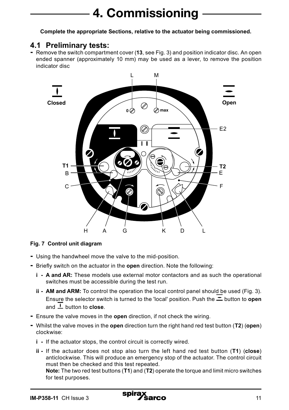# 4. Commissioning

**Complete the appropriate Sections, relative to the actuator being commissioned.**

**4.1 Preliminary tests:**<br>**-** Remove the switch compartment cover (13, see Fig. 3) and position indicator disc. An open ended spanner (approximately 10 mm) may be used as a lever, to remove the position indicator disc



#### **Fig. 7 Control unit diagram**

- **-** Using the handwheel move the valve to the mid-position.
- **-** Briefly switch on the actuator in the **open** direction. Note the following:
	- **i - A and AR:** These models use external motor contactors and as such the operational switches must be accessible during the test run.
	- **ii - AM and ARM:** To control the operation the local control panel should be used (Fig. 3). Ensure the selector switch is turned to the 'local' position. Push the  $\triangle$  button to **open** and  $\overline{L}$  button to **close**.
- **-** Ensure the valve moves in the **open** direction, if not check the wiring.
- **-** Whilst the valve moves in the **open** direction turn the right hand red test button (**T2**) (**open**) clockwise:
	- **i -** If the actuator stops, the control circuit is correctly wired.
	- **ii -** If the actuator does not stop also turn the left hand red test button (**T1**) (**close**) anticlockwise. This will produce an emergency stop of the actuator. The control circuit must then be checked and this test repeated.

spira

**Note:** The two red test buttons (**T1**) and (**T2**) operate the torque and limit micro switches for test purposes.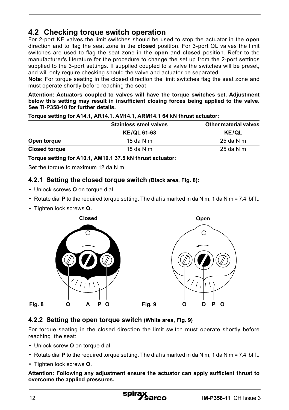# **4.2 Checking torque switch operation**

For 2-port KE valves the limit switches should be used to stop the actuator in the **open**  direction and to flag the seat zone in the **closed** position. For 3-port QL valves the limit switches are used to flag the seat zone in the **open** and **closed** position. Refer to the manufacturer's literature for the procedure to change the set up from the 2-port settings supplied to the 3-port settings. If supplied coupled to a valve the switches will be preset, and will only require checking should the valve and actuator be separated.

**Note:** For torque seating in the closed direction the limit switches flag the seat zone and must operate shortly before reaching the seat.

**Attention: Actuators coupled to valves will have the torque switches set. Adjustment below this setting may result in insufficient closing forces being applied to the valve. See TI-P358-10 for further details.** 

**Torque setting for A14.1, AR14.1, AM14.1, ARM14.1 64 kN thrust actuator:**

|                      | <b>Stainless steel valves</b> | <b>Other material valves</b> |
|----------------------|-------------------------------|------------------------------|
|                      | <b>KE/QL 61-63</b>            | KE/QL                        |
| Open torque          | 18 da N m                     | 25 da N m                    |
| <b>Closed torque</b> | 18 da N m                     | 25 da N m                    |

**Torque setting for A10.1, AM10.1 37.5 kN thrust actuator:**

Set the torque to maximum 12 da N m.

#### **4.2.1 Setting the closed torque switch (Black area, Fig. 8):**

- **-** Unlock screws **O** on torque dial.
- **-** Rotate dial **P** to the required torque setting. The dial is marked in da N m, 1 da N m = 7.4 lbf ft.
- **-** Tighten lock screws **O.**



#### **4.2.2 Setting the open torque switch (White area, Fig. 9)**

For torque seating in the closed direction the limit switch must operate shortly before reaching the seat:

- **-** Unlock screw **O** on torque dial.
- **-** Rotate dial **P** to the required torque setting. The dial is marked in da N m, 1 da N m = 7.4 lbf ft.
- **-** Tighten lock screws **O.**

**Attention: Following any adjustment ensure the actuator can apply sufficient thrust to overcome the applied pressures.**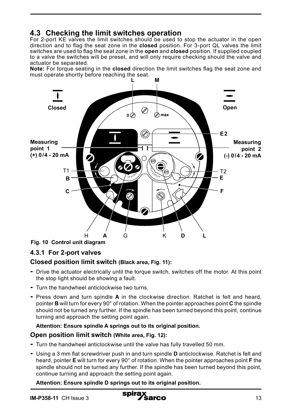## **4.3 Checking the limit switches operation**

For 2-port KE valves the limit switches should be used to stop the actuator in the open direction and to flag the seat zone in the **closed** position. For 3-port QL valves the limit switches are used to flag the seat zone in the **open** and **closed** position. If supplied coupled to a valve the switches will be preset, and will only require checking should the valve and actuator be separated.

**Note:** For torque seating in the **closed** direction the limit switches flag the seat zone and must operate shortly before reaching the seat.



**Fig. 10 Control unit diagram**

#### **4.3.1 For 2-port valves**

#### **Closed position limit switch (Black area, Fig. 11):**

- **-** Drive the actuator electrically until the torque switch, switches off the motor. At this point the stop light should be showing a fault.
- **-** Turn the handwheel anticlockwise two turns.
- **-** Press down and turn spindle **A** in the clockwise direction. Ratchet is felt and heard, pointer **B** will turn for every 90° of rotation. When the pointer approaches point **C** the spindle should not be turned any further. If the spindle has been turned beyond this point, continue turning and approach the setting point again.

#### **Attention: Ensure spindle A springs out to its original position.**

#### **Open position limit switch (White area, Fig. 12):**

- **-** Turn the handwheel anticlockwise until the valve has fully travelled 50 mm.
- **-** Using a 3 mm flat screwdriver push in and turn spindle **D** anticlockwise. Ratchet is felt and heard, pointer **E** will turn for every 90° of rotation. When the pointer approaches point **F** the spindle should not be turned any further. If the spindle has been turned beyond this point, continue turning and approach the setting point again.

**Attention: Ensure spindle D springs out to its original position.**

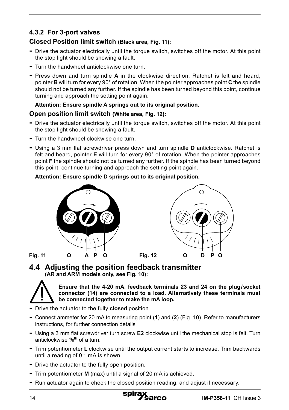## **4.3.2 For 3-port valves**

#### **Closed Position limit switch (Black area, Fig. 11):**

- **-** Drive the actuator electrically until the torque switch, switches off the motor. At this point the stop light should be showing a fault.
- **-** Turn the handwheel anticlockwise one turn.
- **-** Press down and turn spindle **A** in the clockwise direction. Ratchet is felt and heard, pointer **B** will turn for every 90° of rotation. When the pointer approaches point **C** the spindle should not be turned any further. If the spindle has been turned beyond this point, continue turning and approach the setting point again.

#### **Attention: Ensure spindle A springs out to its original position.**

#### **Open position limit switch (White area, Fig. 12):**

- **-** Drive the actuator electrically until the torque switch, switches off the motor. At this point the stop light should be showing a fault.
- **-** Turn the handwheel clockwise one turn.
- **-** Using a 3 mm flat screwdriver press down and turn spindle **D** anticlockwise. Ratchet is felt and heard, pointer **E** will turn for every 90° of rotation. When the pointer approaches point **F** the spindle should not be turned any further. If the spindle has been turned beyond this point, continue turning and approach the setting point again.

#### **Attention: Ensure spindle D springs out to its original position.**



#### **4.4 Adjusting the position feedback transmitter (AR and ARM models only, see Fig. 10):**



**Ensure that the 4-20 mA. feedback terminals 23 and 24 on the plug/socket connector (14) are connected to a load. Alternatively these terminals must be connected together to make the mA loop.**

- **-** Drive the actuator to the fully **closed** position.
- **-** Connect ammeter for 20 mA to measuring point (**1**) and (**2**) (Fig. 10). Refer to manufacturers instructions, for further connection details
- **-** Using a 3 mm flat screwdriver turn screw **E2** clockwise until the mechanical stop is felt. Turn anticlockwise **1/8 th** of a turn.
- **-** Trim potentiometer **L** clockwise until the output current starts to increase. Trim backwards until a reading of 0.1 mA is shown.
- **-** Drive the actuator to the fully open position.
- **-** Trim potentiometer **M** (max) until a signal of 20 mA is achieved.
- **-** Run actuator again to check the closed position reading, and adjust if necessary.

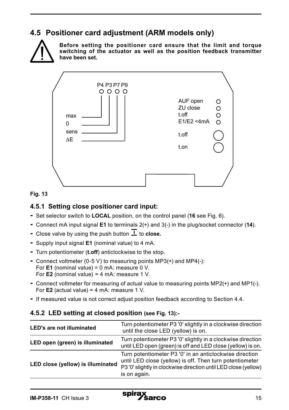# **4.5 Positioner card adjustment (ARM models only)**



**Before setting the positioner card ensure that the limit and torque switching of the actuator as well as the position feedback transmitter have been set.**



#### **Fig. 13**

#### **4.5.1 Setting close positioner card input:**

- **-** Set selector switch to **LOCAL** position, on the control panel (**16** see Fig. 6).
- **-** Connect mA input signal **E1** to terminals 2(+) and 3(-) in the plug/socket connector (**14**).
- **-** Close valve by using the push button  $\overline{\mathbf{I}}$  to **close**.
- **-** Supply input signal **E1** (nominal value) to 4 mA.
- **-** Turn potentiometer (**t.off**) anticlockwise to the stop.
- **-** Connect voltmeter (0-5 V) to measuring points MP3(+) and MP4(-): For  $E1$  (nominal value) = 0 mA: measure 0 V. For **E2** (nominal value) = 4 mA: measure 1 V.
- **-** Connect voltmeter for measuring of actual value to measuring points MP2(+) and MP1(-). For **E2** (actual value) = 4 mA: measure 1 V.
- **-** If measured value is not correct adjust position feedback according to Section 4.4.

#### **4.5.2 LED setting at closed position (see Fig. 13):-**

| <b>LED's are not illuminated</b>  | Turn potentiometer P3 '0' slightly in a clockwise direction<br>until the close LED (yellow) is on.                                                                                                    |
|-----------------------------------|-------------------------------------------------------------------------------------------------------------------------------------------------------------------------------------------------------|
| LED open (green) is illuminated   | Turn potentiometer P3 '0' slightly in a clockwise direction<br>until LED open (green) is off and LED close (yellow) is on.                                                                            |
| LED close (yellow) is illuminated | Turn potentiometer P3 '0' in an anticlockwise direction<br>until LED close (yellow) is off. Then turn potentiometer<br>P3'0' slightly in clockwise direction until LED close (yellow)<br>is on again. |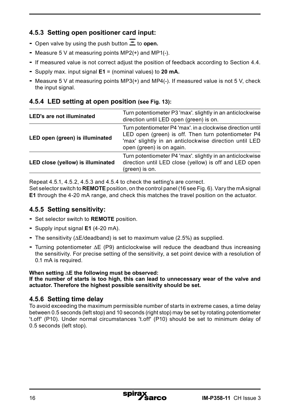### **4.5.3 Setting open positioner card input:**

- **-** Open valve by using the push button  $\equiv$  to **open.**
- **-** Measure 5 V at measuring points MP2(+) and MP1(-).
- **-** If measured value is not correct adjust the position of feedback according to Section 4.4.
- **-** Supply max. input signal **E1** = (nominal values) to **20 mA.**
- **-** Measure 5 V at measuring points MP3(+) and MP4(-). If measured value is not 5 V, check the input signal.

#### **4.5.4 LED setting at open position (see Fig. 13):**

| <b>LED's are not illuminated</b>  | Turn potentiometer P3 'max'. slightly in an anticlockwise<br>direction until LED open (green) is on.                                                                                                      |
|-----------------------------------|-----------------------------------------------------------------------------------------------------------------------------------------------------------------------------------------------------------|
| LED open (green) is illuminated   | Turn potentiometer P4 'max', in a clockwise direction until<br>LED open (green) is off. Then turn potentiometer P4<br>'max' slightly in an anticlockwise direction until LED<br>open (green) is on again. |
| LED close (yellow) is illuminated | Turn potentiometer P4 'max'. slightly in an anticlockwise<br>direction until LED close (yellow) is off and LED open<br>(green) is on.                                                                     |

Repeat 4.5.1, 4.5.2, 4.5.3 and 4.5.4 to check the setting's are correct.

Set selector switch to **REMOTE** position, on the control panel (16 see Fig. 6). Vary the mA signal **E1** through the 4-20 mA range, and check this matches the travel position on the actuator.

#### **4.5.5 Setting sensitivity:**

- **-** Set selector switch to **REMOTE** position.
- **-** Supply input signal **E1** (4-20 mA).
- **-** The sensitivity (E/deadband) is set to maximum value (2.5%) as supplied.
- **-** Turning potentiometer  $\Delta E$  (P9) anticlockwise will reduce the deadband thus increasing the sensitivity. For precise setting of the sensitivity, a set point device with a resolution of 0.1 mA is required.

#### **When setting E the following must be observed:**

**If the number of starts is too high, this can lead to unnecessary wear of the valve and actuator. Therefore the highest possible sensitivity should be set.**

#### **4.5.6 Setting time delay**

To avoid exceeding the maximum permissible number of starts in extreme cases, a time delay between 0.5 seconds (left stop) and 10 seconds (right stop) may be set by rotating potentiometer 't.off' (P10). Under normal circumstances 't.off' (P10) should be set to minimum delay of 0.5 seconds (left stop).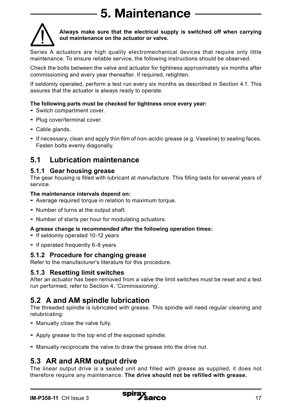# 5. Maintenance



**Always make sure that the electrical supply is switched off when carrying out maintenance on the actuator or valve.**

Series A actuators are high quality electromechanical devices that require only little maintenance. To ensure reliable service, the following instructions should be observed.

Check the bolts between the valve and actuator for tightness approximately six months after commissioning and every year thereafter. If required, retighten.

If seldomly operated, perform a test run every six months as described in Section 4.1. This assures that the actuator is always ready to operate.

#### **The following parts must be checked for tightness once every year:**

- **-** Switch compartment cover.
- **-** Plug cover/terminal cover.
- **-** Cable glands.
- **-** If necessary, clean and apply thin film of non-acidic grease (e.g. Vaseline) to sealing faces. Fasten bolts evenly diagonally.

# **5.1 Lubrication maintenance**

#### **5.1.1 Gear housing grease**

The gear housing is filled with lubricant at manufacture. This filling lasts for several years of service.

#### **The maintenance intervals depend on:**

- **-** Average required torque in relation to maximum torque.
- **-** Number of turns at the output shaft.
- **-** Number of starts per hour for modulating actuators.

#### **A grease change is recommended after the following operation times:**

- **-** If seldomly operated 10-12 years
- **-** If operated frequently 6-8 years

#### **5.1.2 Procedure for changing grease**

Refer to the manufacturer's literature for this procedure.

#### **5.1.3 Resetting limit switches**

After an actuator has been removed from a valve the limit switches must be reset and a test run performed, refer to Section 4, 'Commissioning'.

### **5.2 A and AM spindle lubrication**

The threaded spindle is lubricated with grease. This spindle will need regular cleaning and relubricating:

- **-** Manually close the valve fully.
- **-** Apply grease to the top end of the exposed spindle.
- **-** Manually reciprocate the valve to draw the grease into the drive nut.

### **5.3 AR and ARM output drive**

The linear output drive is a sealed unit and filled with grease as supplied, it does not therefore require any maintenance. **The drive should not be refilled with grease.**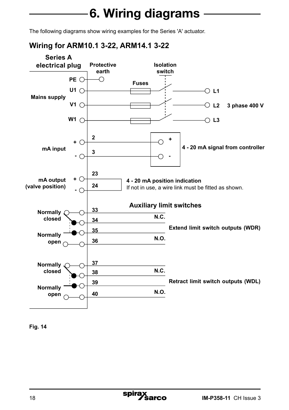# 6. Wiring diagrams

The following diagrams show wiring examples for the Series 'A' actuator.

# **Wiring for ARM10.1 3-22, ARM14.1 3-22**



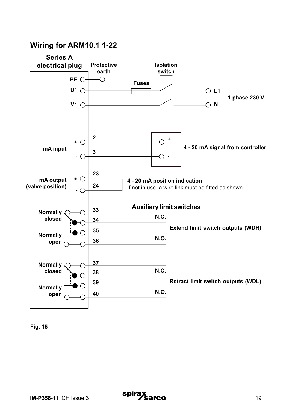# **Wiring for ARM10.1 1-22**



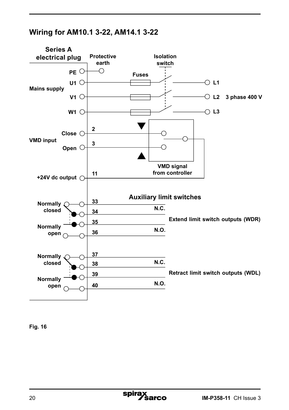# **Wiring for AM10.1 3-22, AM14.1 3-22**



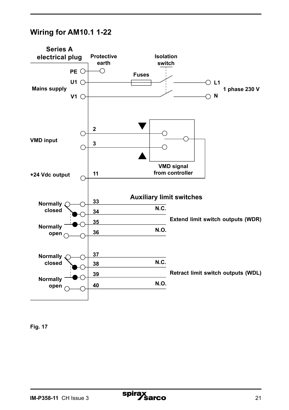# **Wiring for AM10.1 1-22**



**Fig. 17**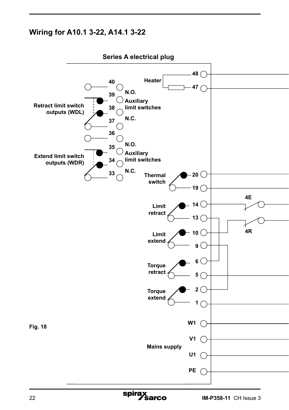# **Wiring for A10.1 3-22, A14.1 3-22**

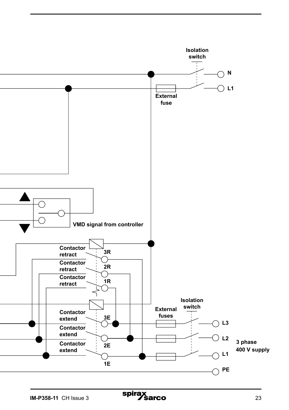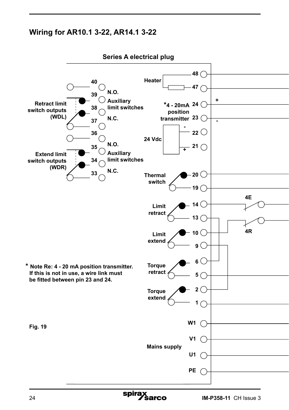# **Wiring for AR10.1 3-22, AR14.1 3-22**

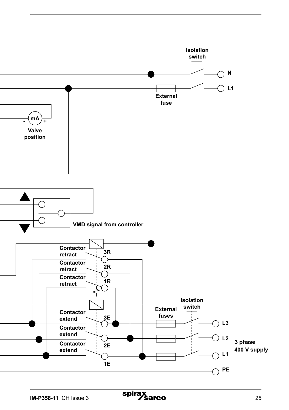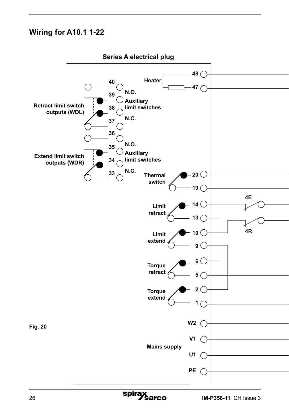# **Wiring for A10.1 1-22**

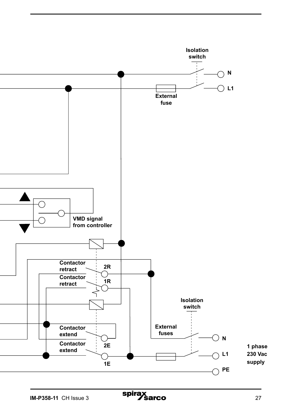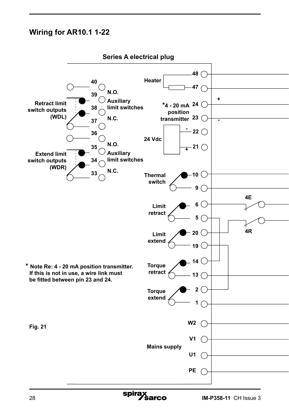# **Wiring for AR10.1 1-22**

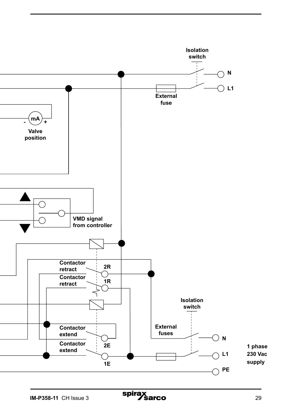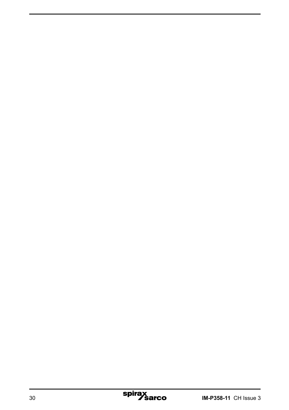